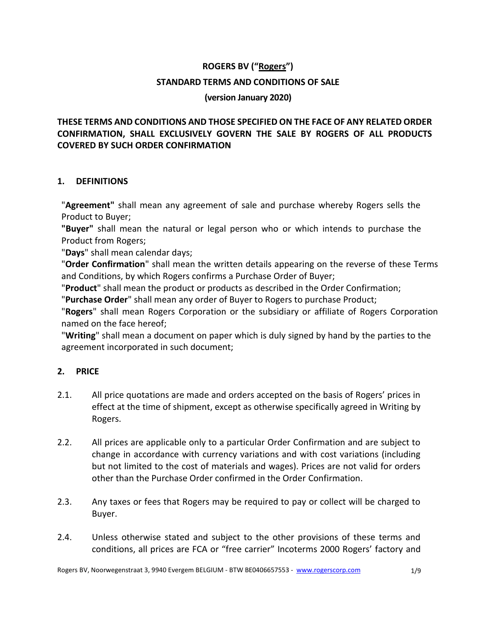# **ROGERS BV ("Rogers") STANDARD TERMS AND CONDITIONS OF SALE**

#### **(version January 2020)**

# **THESE TERMS AND CONDITIONS AND THOSE SPECIFIED ON THE FACE OF ANY RELATED ORDER CONFIRMATION, SHALL EXCLUSIVELY GOVERN THE SALE BY ROGERS OF ALL PRODUCTS COVERED BY SUCH ORDER CONFIRMATION**

#### **1. DEFINITIONS**

"**Agreement"** shall mean any agreement of sale and purchase whereby Rogers sells the Product to Buyer;

**"Buyer"** shall mean the natural or legal person who or which intends to purchase the Product from Rogers;

"**Days**" shall mean calendar days;

"**Order Confirmation**" shall mean the written details appearing on the reverse of these Terms and Conditions, by which Rogers confirms a Purchase Order of Buyer;

"**Product**" shall mean the product or products as described in the Order Confirmation;

"**Purchase Order**" shall mean any order of Buyer to Rogers to purchase Product;

"**Rogers**" shall mean Rogers Corporation or the subsidiary or affiliate of Rogers Corporation named on the face hereof;

"**Writing**" shall mean a document on paper which is duly signed by hand by the parties to the agreement incorporated in such document;

## **2. PRICE**

- 2.1. All price quotations are made and orders accepted on the basis of Rogers' prices in effect at the time of shipment, except as otherwise specifically agreed in Writing by Rogers.
- 2.2. All prices are applicable only to a particular Order Confirmation and are subject to change in accordance with currency variations and with cost variations (including but not limited to the cost of materials and wages). Prices are not valid for orders other than the Purchase Order confirmed in the Order Confirmation.
- 2.3. Any taxes or fees that Rogers may be required to pay or collect will be charged to Buyer.
- 2.4. Unless otherwise stated and subject to the other provisions of these terms and conditions, all prices are FCA or "free carrier" Incoterms 2000 Rogers' factory and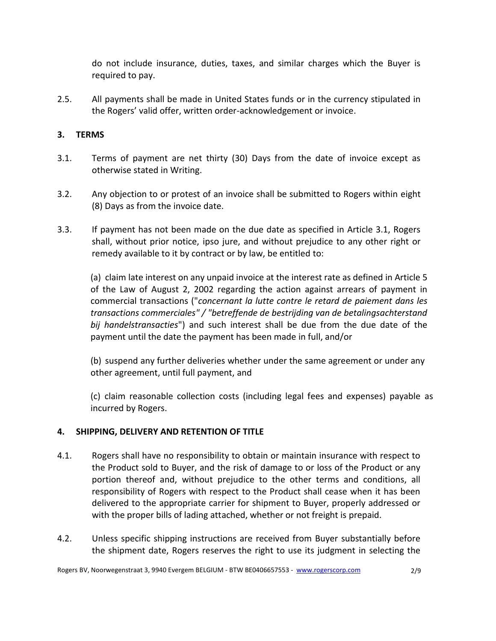do not include insurance, duties, taxes, and similar charges which the Buyer is required to pay.

2.5. All payments shall be made in United States funds or in the currency stipulated in the Rogers' valid offer, written order-acknowledgement or invoice.

## **3. TERMS**

- 3.1. Terms of payment are net thirty (30) Days from the date of invoice except as otherwise stated in Writing.
- 3.2. Any objection to or protest of an invoice shall be submitted to Rogers within eight (8) Days as from the invoice date.
- 3.3. If payment has not been made on the due date as specified in Article 3.1, Rogers shall, without prior notice, ipso jure, and without prejudice to any other right or remedy available to it by contract or by law, be entitled to:

(a) claim late interest on any unpaid invoice at the interest rate as defined in Article 5 of the Law of August 2, 2002 regarding the action against arrears of payment in commercial transactions ("*concernant la lutte contre le retard de paiement dans les transactions commerciales" / "betreffende de bestrijding van de betalingsachterstand bij handelstransacties*") and such interest shall be due from the due date of the payment until the date the payment has been made in full, and/or

(b) suspend any further deliveries whether under the same agreement or under any other agreement, until full payment, and

(c) claim reasonable collection costs (including legal fees and expenses) payable as incurred by Rogers.

## **4. SHIPPING, DELIVERY AND RETENTION OF TITLE**

- 4.1. Rogers shall have no responsibility to obtain or maintain insurance with respect to the Product sold to Buyer, and the risk of damage to or loss of the Product or any portion thereof and, without prejudice to the other terms and conditions, all responsibility of Rogers with respect to the Product shall cease when it has been delivered to the appropriate carrier for shipment to Buyer, properly addressed or with the proper bills of lading attached, whether or not freight is prepaid.
- 4.2. Unless specific shipping instructions are received from Buyer substantially before the shipment date, Rogers reserves the right to use its judgment in selecting the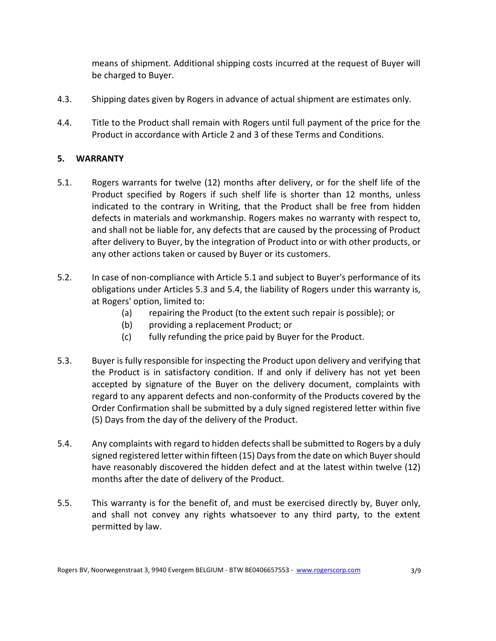means of shipment. Additional shipping costs incurred at the request of Buyer will be charged to Buyer.

- 4.3. Shipping dates given by Rogers in advance of actual shipment are estimates only.
- 4.4. Title to the Product shall remain with Rogers until full payment of the price for the Product in accordance with Article 2 and 3 of these Terms and Conditions.

## **5. WARRANTY**

- 5.1. Rogers warrants for twelve (12) months after delivery, or for the shelf life of the Product specified by Rogers if such shelf life is shorter than 12 months, unless indicated to the contrary in Writing, that the Product shall be free from hidden defects in materials and workmanship. Rogers makes no warranty with respect to, and shall not be liable for, any defects that are caused by the processing of Product after delivery to Buyer, by the integration of Product into or with other products, or any other actions taken or caused by Buyer or its customers.
- 5.2. In case of non-compliance with Article 5.1 and subject to Buyer's performance of its obligations under Articles 5.3 and 5.4, the liability of Rogers under this warranty is, at Rogers' option, limited to:
	- (a) repairing the Product (to the extent such repair is possible); or
	- (b) providing a replacement Product; or
	- (c) fully refunding the price paid by Buyer for the Product.
- 5.3. Buyer is fully responsible for inspecting the Product upon delivery and verifying that the Product is in satisfactory condition. If and only if delivery has not yet been accepted by signature of the Buyer on the delivery document, complaints with regard to any apparent defects and non-conformity of the Products covered by the Order Confirmation shall be submitted by a duly signed registered letter within five (5) Days from the day of the delivery of the Product.
- 5.4. Any complaints with regard to hidden defects shall be submitted to Rogers by a duly signed registered letter within fifteen (15) Days from the date on which Buyer should have reasonably discovered the hidden defect and at the latest within twelve (12) months after the date of delivery of the Product.
- 5.5. This warranty is for the benefit of, and must be exercised directly by, Buyer only, and shall not convey any rights whatsoever to any third party, to the extent permitted by law.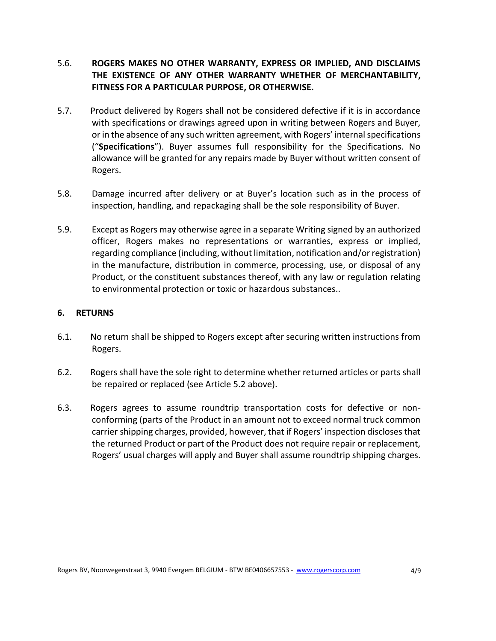### 5.6. **ROGERS MAKES NO OTHER WARRANTY, EXPRESS OR IMPLIED, AND DISCLAIMS THE EXISTENCE OF ANY OTHER WARRANTY WHETHER OF MERCHANTABILITY, FITNESS FOR A PARTICULAR PURPOSE, OR OTHERWISE.**

- 5.7. Product delivered by Rogers shall not be considered defective if it is in accordance with specifications or drawings agreed upon in writing between Rogers and Buyer, or in the absence of any such written agreement, with Rogers' internal specifications ("**Specifications**"). Buyer assumes full responsibility for the Specifications. No allowance will be granted for any repairs made by Buyer without written consent of Rogers.
- 5.8. Damage incurred after delivery or at Buyer's location such as in the process of inspection, handling, and repackaging shall be the sole responsibility of Buyer.
- 5.9. Except as Rogers may otherwise agree in a separate Writing signed by an authorized officer, Rogers makes no representations or warranties, express or implied, regarding compliance (including, without limitation, notification and/or registration) in the manufacture, distribution in commerce, processing, use, or disposal of any Product, or the constituent substances thereof, with any law or regulation relating to environmental protection or toxic or hazardous substances..

#### **6. RETURNS**

- 6.1. No return shall be shipped to Rogers except after securing written instructions from Rogers.
- 6.2. Rogers shall have the sole right to determine whether returned articles or parts shall be repaired or replaced (see Article 5.2 above).
- 6.3. Rogers agrees to assume roundtrip transportation costs for defective or nonconforming (parts of the Product in an amount not to exceed normal truck common carrier shipping charges, provided, however, that if Rogers' inspection discloses that the returned Product or part of the Product does not require repair or replacement, Rogers' usual charges will apply and Buyer shall assume roundtrip shipping charges.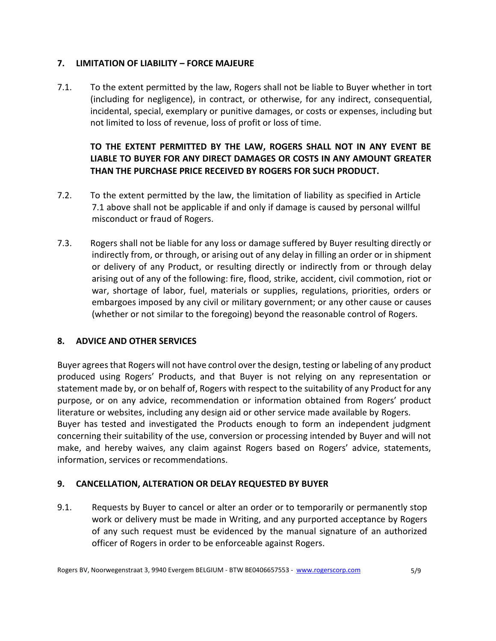### **7. LIMITATION OF LIABILITY – FORCE MAJEURE**

7.1. To the extent permitted by the law, Rogers shall not be liable to Buyer whether in tort (including for negligence), in contract, or otherwise, for any indirect, consequential, incidental, special, exemplary or punitive damages, or costs or expenses, including but not limited to loss of revenue, loss of profit or loss of time.

# **TO THE EXTENT PERMITTED BY THE LAW, ROGERS SHALL NOT IN ANY EVENT BE LIABLE TO BUYER FOR ANY DIRECT DAMAGES OR COSTS IN ANY AMOUNT GREATER THAN THE PURCHASE PRICE RECEIVED BY ROGERS FOR SUCH PRODUCT.**

- 7.2. To the extent permitted by the law, the limitation of liability as specified in Article 7.1 above shall not be applicable if and only if damage is caused by personal willful misconduct or fraud of Rogers.
- 7.3. Rogers shall not be liable for any loss or damage suffered by Buyer resulting directly or indirectly from, or through, or arising out of any delay in filling an order or in shipment or delivery of any Product, or resulting directly or indirectly from or through delay arising out of any of the following: fire, flood, strike, accident, civil commotion, riot or war, shortage of labor, fuel, materials or supplies, regulations, priorities, orders or embargoes imposed by any civil or military government; or any other cause or causes (whether or not similar to the foregoing) beyond the reasonable control of Rogers.

## **8. ADVICE AND OTHER SERVICES**

Buyer agrees that Rogers will not have control over the design, testing or labeling of any product produced using Rogers' Products, and that Buyer is not relying on any representation or statement made by, or on behalf of, Rogers with respect to the suitability of any Product for any purpose, or on any advice, recommendation or information obtained from Rogers' product literature or websites, including any design aid or other service made available by Rogers. Buyer has tested and investigated the Products enough to form an independent judgment concerning their suitability of the use, conversion or processing intended by Buyer and will not make, and hereby waives, any claim against Rogers based on Rogers' advice, statements, information, services or recommendations.

#### **9. CANCELLATION, ALTERATION OR DELAY REQUESTED BY BUYER**

9.1. Requests by Buyer to cancel or alter an order or to temporarily or permanently stop work or delivery must be made in Writing, and any purported acceptance by Rogers of any such request must be evidenced by the manual signature of an authorized officer of Rogers in order to be enforceable against Rogers.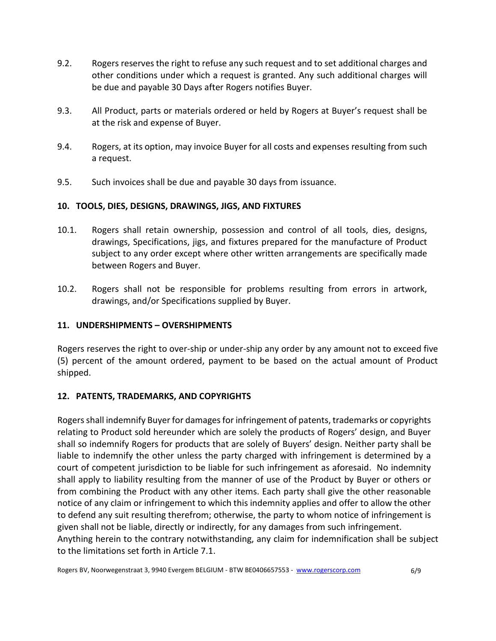- 9.2. Rogers reserves the right to refuse any such request and to set additional charges and other conditions under which a request is granted. Any such additional charges will be due and payable 30 Days after Rogers notifies Buyer.
- 9.3. All Product, parts or materials ordered or held by Rogers at Buyer's request shall be at the risk and expense of Buyer.
- 9.4. Rogers, at its option, may invoice Buyer for all costs and expenses resulting from such a request.
- 9.5. Such invoices shall be due and payable 30 days from issuance.

## **10. TOOLS, DIES, DESIGNS, DRAWINGS, JIGS, AND FIXTURES**

- 10.1. Rogers shall retain ownership, possession and control of all tools, dies, designs, drawings, Specifications, jigs, and fixtures prepared for the manufacture of Product subject to any order except where other written arrangements are specifically made between Rogers and Buyer.
- 10.2. Rogers shall not be responsible for problems resulting from errors in artwork, drawings, and/or Specifications supplied by Buyer.

## **11. UNDERSHIPMENTS – OVERSHIPMENTS**

Rogers reserves the right to over-ship or under-ship any order by any amount not to exceed five (5) percent of the amount ordered, payment to be based on the actual amount of Product shipped.

# **12. PATENTS, TRADEMARKS, AND COPYRIGHTS**

Rogers shall indemnify Buyer for damages for infringement of patents, trademarks or copyrights relating to Product sold hereunder which are solely the products of Rogers' design, and Buyer shall so indemnify Rogers for products that are solely of Buyers' design. Neither party shall be liable to indemnify the other unless the party charged with infringement is determined by a court of competent jurisdiction to be liable for such infringement as aforesaid. No indemnity shall apply to liability resulting from the manner of use of the Product by Buyer or others or from combining the Product with any other items. Each party shall give the other reasonable notice of any claim or infringement to which this indemnity applies and offer to allow the other to defend any suit resulting therefrom; otherwise, the party to whom notice of infringement is given shall not be liable, directly or indirectly, for any damages from such infringement. Anything herein to the contrary notwithstanding, any claim for indemnification shall be subject to the limitations set forth in Article 7.1.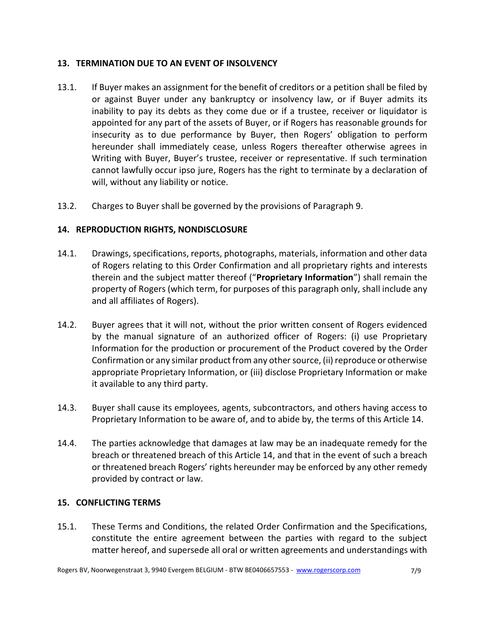#### **13. TERMINATION DUE TO AN EVENT OF INSOLVENCY**

- 13.1. If Buyer makes an assignment for the benefit of creditors or a petition shall be filed by or against Buyer under any bankruptcy or insolvency law, or if Buyer admits its inability to pay its debts as they come due or if a trustee, receiver or liquidator is appointed for any part of the assets of Buyer, or if Rogers has reasonable grounds for insecurity as to due performance by Buyer, then Rogers' obligation to perform hereunder shall immediately cease, unless Rogers thereafter otherwise agrees in Writing with Buyer, Buyer's trustee, receiver or representative. If such termination cannot lawfully occur ipso jure, Rogers has the right to terminate by a declaration of will, without any liability or notice.
- 13.2. Charges to Buyer shall be governed by the provisions of Paragraph 9.

#### **14. REPRODUCTION RIGHTS, NONDISCLOSURE**

- 14.1. Drawings, specifications, reports, photographs, materials, information and other data of Rogers relating to this Order Confirmation and all proprietary rights and interests therein and the subject matter thereof ("**Proprietary Information**") shall remain the property of Rogers (which term, for purposes of this paragraph only, shall include any and all affiliates of Rogers).
- 14.2. Buyer agrees that it will not, without the prior written consent of Rogers evidenced by the manual signature of an authorized officer of Rogers: (i) use Proprietary Information for the production or procurement of the Product covered by the Order Confirmation or any similar product from any other source, (ii) reproduce or otherwise appropriate Proprietary Information, or (iii) disclose Proprietary Information or make it available to any third party.
- 14.3. Buyer shall cause its employees, agents, subcontractors, and others having access to Proprietary Information to be aware of, and to abide by, the terms of this Article 14.
- 14.4. The parties acknowledge that damages at law may be an inadequate remedy for the breach or threatened breach of this Article 14, and that in the event of such a breach or threatened breach Rogers' rights hereunder may be enforced by any other remedy provided by contract or law.

#### **15. CONFLICTING TERMS**

15.1. These Terms and Conditions, the related Order Confirmation and the Specifications, constitute the entire agreement between the parties with regard to the subject matter hereof, and supersede all oral or written agreements and understandings with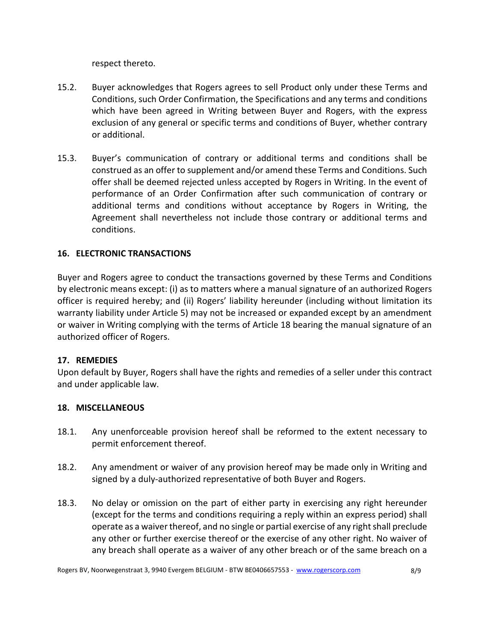respect thereto.

- 15.2. Buyer acknowledges that Rogers agrees to sell Product only under these Terms and Conditions, such Order Confirmation, the Specifications and any terms and conditions which have been agreed in Writing between Buyer and Rogers, with the express exclusion of any general or specific terms and conditions of Buyer, whether contrary or additional.
- 15.3. Buyer's communication of contrary or additional terms and conditions shall be construed as an offer to supplement and/or amend these Terms and Conditions. Such offer shall be deemed rejected unless accepted by Rogers in Writing. In the event of performance of an Order Confirmation after such communication of contrary or additional terms and conditions without acceptance by Rogers in Writing, the Agreement shall nevertheless not include those contrary or additional terms and conditions.

#### **16. ELECTRONIC TRANSACTIONS**

Buyer and Rogers agree to conduct the transactions governed by these Terms and Conditions by electronic means except: (i) as to matters where a manual signature of an authorized Rogers officer is required hereby; and (ii) Rogers' liability hereunder (including without limitation its warranty liability under Article 5) may not be increased or expanded except by an amendment or waiver in Writing complying with the terms of Article 18 bearing the manual signature of an authorized officer of Rogers.

#### **17. REMEDIES**

Upon default by Buyer, Rogers shall have the rights and remedies of a seller under this contract and under applicable law.

#### **18. MISCELLANEOUS**

- 18.1. Any unenforceable provision hereof shall be reformed to the extent necessary to permit enforcement thereof.
- 18.2. Any amendment or waiver of any provision hereof may be made only in Writing and signed by a duly-authorized representative of both Buyer and Rogers.
- 18.3. No delay or omission on the part of either party in exercising any right hereunder (except for the terms and conditions requiring a reply within an express period) shall operate as a waiver thereof, and no single or partial exercise of any right shall preclude any other or further exercise thereof or the exercise of any other right. No waiver of any breach shall operate as a waiver of any other breach or of the same breach on a